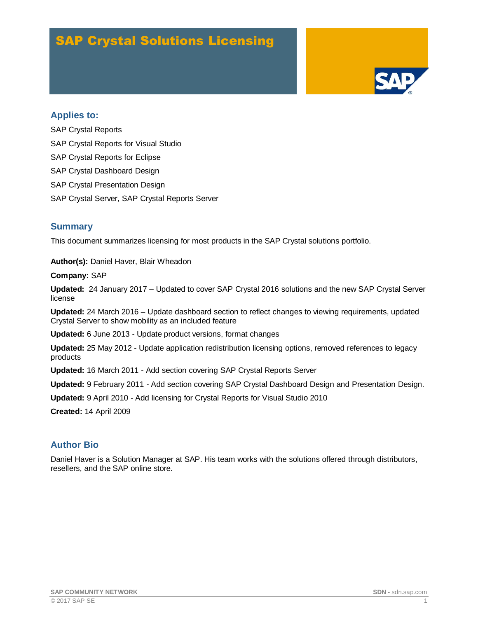# SAP Crystal Solutions Licensing



### **Applies to:**

SAP Crystal Reports SAP Crystal Reports for Visual Studio SAP Crystal Reports for Eclipse SAP Crystal Dashboard Design SAP Crystal Presentation Design SAP Crystal Server, SAP Crystal Reports Server

### **Summary**

This document summarizes licensing for most products in the SAP Crystal solutions portfolio.

**Author(s):** Daniel Haver, Blair Wheadon

#### **Company:** SAP

**Updated:** 24 January 2017 – Updated to cover SAP Crystal 2016 solutions and the new SAP Crystal Server license

**Updated:** 24 March 2016 – Update dashboard section to reflect changes to viewing requirements, updated Crystal Server to show mobility as an included feature

**Updated:** 6 June 2013 - Update product versions, format changes

**Updated:** 25 May 2012 - Update application redistribution licensing options, removed references to legacy products

**Updated:** 16 March 2011 - Add section covering SAP Crystal Reports Server

**Updated:** 9 February 2011 - Add section covering SAP Crystal Dashboard Design and Presentation Design.

**Updated:** 9 April 2010 - Add licensing for Crystal Reports for Visual Studio 2010

**Created:** 14 April 2009

# **Author Bio**

Daniel Haver is a Solution Manager at SAP. His team works with the solutions offered through distributors, resellers, and the SAP online store.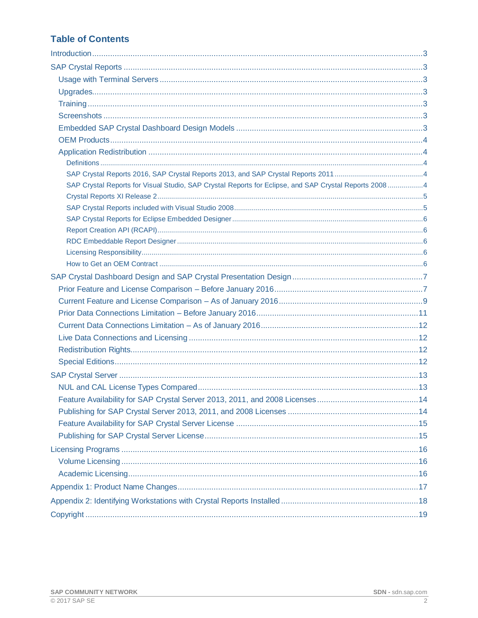# **Table of Contents**

| SAP Crystal Reports for Visual Studio, SAP Crystal Reports for Eclipse, and SAP Crystal Reports 20084 |  |
|-------------------------------------------------------------------------------------------------------|--|
|                                                                                                       |  |
|                                                                                                       |  |
|                                                                                                       |  |
|                                                                                                       |  |
|                                                                                                       |  |
|                                                                                                       |  |
|                                                                                                       |  |
|                                                                                                       |  |
|                                                                                                       |  |
|                                                                                                       |  |
|                                                                                                       |  |
|                                                                                                       |  |
|                                                                                                       |  |
|                                                                                                       |  |
|                                                                                                       |  |
|                                                                                                       |  |
|                                                                                                       |  |
|                                                                                                       |  |
|                                                                                                       |  |
|                                                                                                       |  |
|                                                                                                       |  |
|                                                                                                       |  |
|                                                                                                       |  |
|                                                                                                       |  |
|                                                                                                       |  |
|                                                                                                       |  |
|                                                                                                       |  |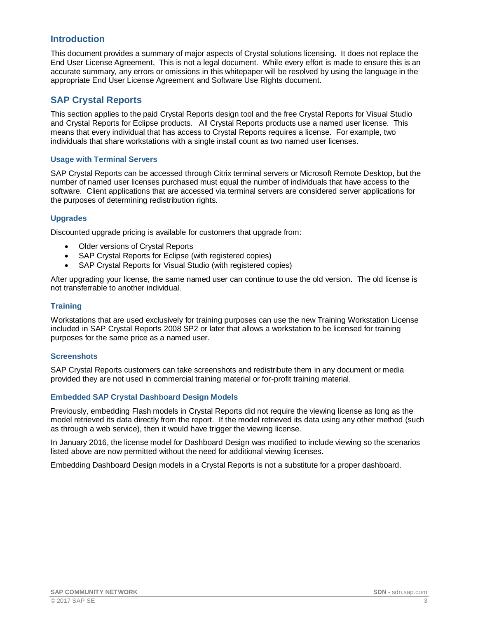### <span id="page-2-0"></span>**Introduction**

This document provides a summary of major aspects of Crystal solutions licensing. It does not replace the End User License Agreement. This is not a legal document. While every effort is made to ensure this is an accurate summary, any errors or omissions in this whitepaper will be resolved by using the language in the appropriate End User License Agreement and Software Use Rights document.

# <span id="page-2-1"></span>**SAP Crystal Reports**

This section applies to the paid Crystal Reports design tool and the free Crystal Reports for Visual Studio and Crystal Reports for Eclipse products. All Crystal Reports products use a named user license. This means that every individual that has access to Crystal Reports requires a license. For example, two individuals that share workstations with a single install count as two named user licenses.

#### <span id="page-2-2"></span>**Usage with Terminal Servers**

SAP Crystal Reports can be accessed through Citrix terminal servers or Microsoft Remote Desktop, but the number of named user licenses purchased must equal the number of individuals that have access to the software. Client applications that are accessed via terminal servers are considered server applications for the purposes of determining redistribution rights.

#### <span id="page-2-3"></span>**Upgrades**

Discounted upgrade pricing is available for customers that upgrade from:

- Older versions of Crystal Reports
- SAP Crystal Reports for Eclipse (with registered copies)
- SAP Crystal Reports for Visual Studio (with registered copies)

After upgrading your license, the same named user can continue to use the old version. The old license is not transferrable to another individual.

#### <span id="page-2-4"></span>**Training**

Workstations that are used exclusively for training purposes can use the new Training Workstation License included in SAP Crystal Reports 2008 SP2 or later that allows a workstation to be licensed for training purposes for the same price as a named user.

#### <span id="page-2-5"></span>**Screenshots**

SAP Crystal Reports customers can take screenshots and redistribute them in any document or media provided they are not used in commercial training material or for-profit training material.

#### <span id="page-2-6"></span>**Embedded SAP Crystal Dashboard Design Models**

Previously, embedding Flash models in Crystal Reports did not require the viewing license as long as the model retrieved its data directly from the report. If the model retrieved its data using any other method (such as through a web service), then it would have trigger the viewing license.

In January 2016, the license model for Dashboard Design was modified to include viewing so the scenarios listed above are now permitted without the need for additional viewing licenses.

Embedding Dashboard Design models in a Crystal Reports is not a substitute for a proper dashboard.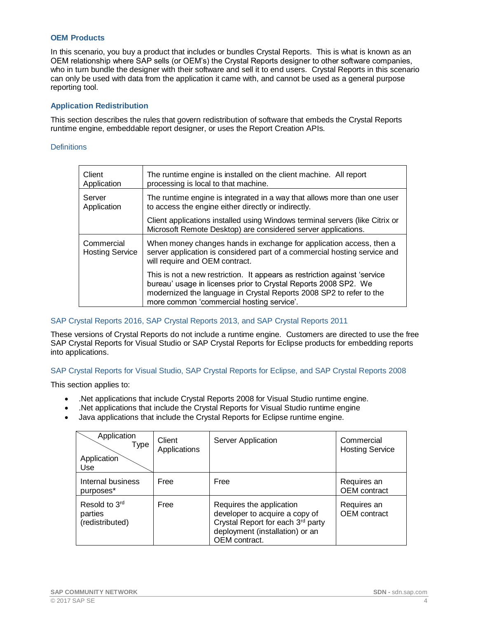#### <span id="page-3-0"></span>**OEM Products**

In this scenario, you buy a product that includes or bundles Crystal Reports. This is what is known as an OEM relationship where SAP sells (or OEM's) the Crystal Reports designer to other software companies, who in turn bundle the designer with their software and sell it to end users. Crystal Reports in this scenario can only be used with data from the application it came with, and cannot be used as a general purpose reporting tool.

#### <span id="page-3-1"></span>**Application Redistribution**

This section describes the rules that govern redistribution of software that embeds the Crystal Reports runtime engine, embeddable report designer, or uses the Report Creation APIs.

#### <span id="page-3-2"></span>**Definitions**

| Client<br>Application                | The runtime engine is installed on the client machine. All report<br>processing is local to that machine.                                                                                                                                                        |
|--------------------------------------|------------------------------------------------------------------------------------------------------------------------------------------------------------------------------------------------------------------------------------------------------------------|
| Server<br>Application                | The runtime engine is integrated in a way that allows more than one user<br>to access the engine either directly or indirectly.                                                                                                                                  |
|                                      | Client applications installed using Windows terminal servers (like Citrix or<br>Microsoft Remote Desktop) are considered server applications.                                                                                                                    |
| Commercial<br><b>Hosting Service</b> | When money changes hands in exchange for application access, then a<br>server application is considered part of a commercial hosting service and<br>will require and OEM contract.                                                                               |
|                                      | This is not a new restriction. It appears as restriction against 'service<br>bureau' usage in licenses prior to Crystal Reports 2008 SP2. We<br>modernized the language in Crystal Reports 2008 SP2 to refer to the<br>more common 'commercial hosting service'. |

#### <span id="page-3-3"></span>SAP Crystal Reports 2016, SAP Crystal Reports 2013, and SAP Crystal Reports 2011

These versions of Crystal Reports do not include a runtime engine. Customers are directed to use the free SAP Crystal Reports for Visual Studio or SAP Crystal Reports for Eclipse products for embedding reports into applications.

#### <span id="page-3-4"></span>SAP Crystal Reports for Visual Studio, SAP Crystal Reports for Eclipse, and SAP Crystal Reports 2008

This section applies to:

- .Net applications that include Crystal Reports 2008 for Visual Studio runtime engine.
- .Net applications that include the Crystal Reports for Visual Studio runtime engine
- Java applications that include the Crystal Reports for Eclipse runtime engine.

| Application<br><b>Type</b><br>Application<br>Use | Client<br>Applications | Server Application                                                                                                                                  | Commercial<br><b>Hosting Service</b> |
|--------------------------------------------------|------------------------|-----------------------------------------------------------------------------------------------------------------------------------------------------|--------------------------------------|
| Internal business<br>purposes*                   | Free                   | Free                                                                                                                                                | Requires an<br><b>OEM</b> contract   |
| Resold to 3rd<br>parties<br>(redistributed)      | Free                   | Requires the application<br>developer to acquire a copy of<br>Crystal Report for each 3rd party<br>deployment (installation) or an<br>OEM contract. | Requires an<br><b>OEM</b> contract   |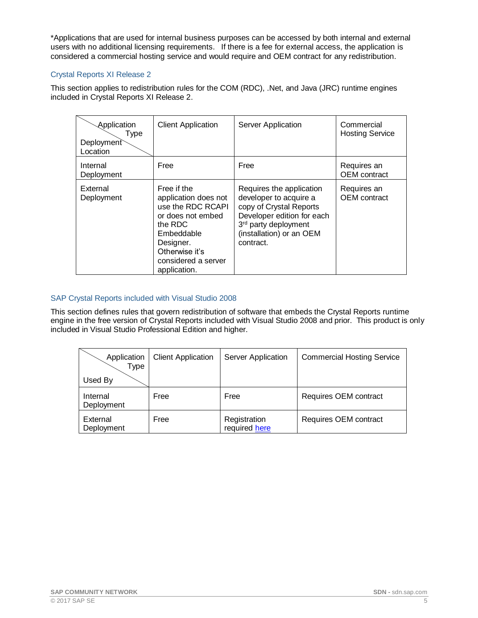\*Applications that are used for internal business purposes can be accessed by both internal and external users with no additional licensing requirements. If there is a fee for external access, the application is considered a commercial hosting service and would require and OEM contract for any redistribution.

#### <span id="page-4-0"></span>Crystal Reports XI Release 2

This section applies to redistribution rules for the COM (RDC), .Net, and Java (JRC) runtime engines included in Crystal Reports XI Release 2.

| Application<br>Type<br>Deployment<br>Location | <b>Client Application</b>                                                                                                                                                    | Server Application                                                                                                                                                                       | Commercial<br><b>Hosting Service</b> |
|-----------------------------------------------|------------------------------------------------------------------------------------------------------------------------------------------------------------------------------|------------------------------------------------------------------------------------------------------------------------------------------------------------------------------------------|--------------------------------------|
| Internal<br>Deployment                        | Free                                                                                                                                                                         | Free                                                                                                                                                                                     | Requires an<br><b>OEM</b> contract   |
| External<br>Deployment                        | Free if the<br>application does not<br>use the RDC RCAPI<br>or does not embed<br>the RDC<br>Embeddable<br>Designer.<br>Otherwise it's<br>considered a server<br>application. | Requires the application<br>developer to acquire a<br>copy of Crystal Reports<br>Developer edition for each<br>3 <sup>rd</sup> party deployment<br>(installation) or an OEM<br>contract. | Requires an<br><b>OEM</b> contract   |

### <span id="page-4-1"></span>SAP Crystal Reports included with Visual Studio 2008

This section defines rules that govern redistribution of software that embeds the Crystal Reports runtime engine in the free version of Crystal Reports included with Visual Studio 2008 and prior. This product is only included in Visual Studio Professional Edition and higher.

| Application<br>Type    | <b>Client Application</b> | <b>Server Application</b>     | <b>Commercial Hosting Service</b> |
|------------------------|---------------------------|-------------------------------|-----------------------------------|
| Used By                |                           |                               |                                   |
| Internal<br>Deployment | Free                      | Free                          | Requires OEM contract             |
| External<br>Deployment | Free                      | Registration<br>required here | Requires OEM contract             |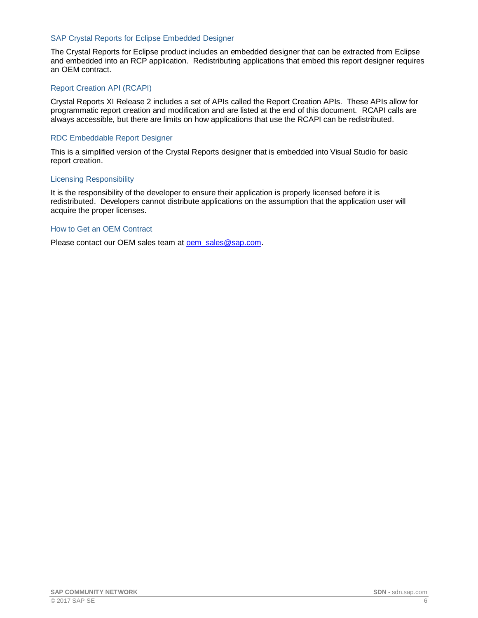#### <span id="page-5-0"></span>SAP Crystal Reports for Eclipse Embedded Designer

The Crystal Reports for Eclipse product includes an embedded designer that can be extracted from Eclipse and embedded into an RCP application. Redistributing applications that embed this report designer requires an OEM contract.

#### <span id="page-5-1"></span>Report Creation API (RCAPI)

Crystal Reports XI Release 2 includes a set of APIs called the Report Creation APIs. These APIs allow for programmatic report creation and modification and are listed at the end of this document. RCAPI calls are always accessible, but there are limits on how applications that use the RCAPI can be redistributed.

#### <span id="page-5-2"></span>RDC Embeddable Report Designer

This is a simplified version of the Crystal Reports designer that is embedded into Visual Studio for basic report creation.

#### <span id="page-5-3"></span>Licensing Responsibility

It is the responsibility of the developer to ensure their application is properly licensed before it is redistributed. Developers cannot distribute applications on the assumption that the application user will acquire the proper licenses.

#### <span id="page-5-4"></span>How to Get an OEM Contract

Please contact our OEM sales team at oem sales@sap.com.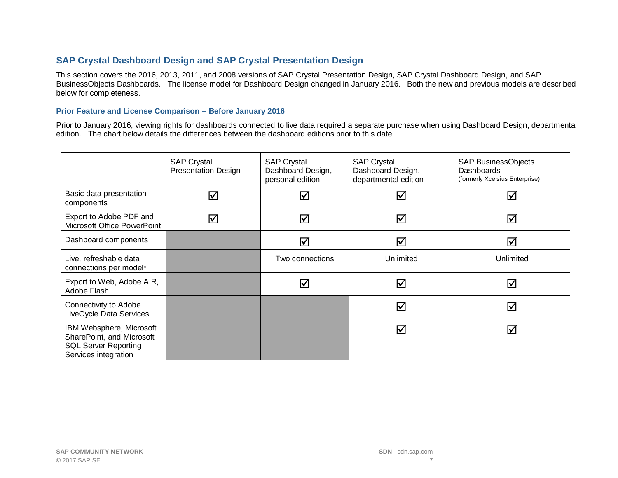# **SAP Crystal Dashboard Design and SAP Crystal Presentation Design**

This section covers the 2016, 2013, 2011, and 2008 versions of SAP Crystal Presentation Design, SAP Crystal Dashboard Design, and SAP BusinessObjects Dashboards. The license model for Dashboard Design changed in January 2016. Both the new and previous models are described below for completeness.

#### **Prior Feature and License Comparison – Before January 2016**

Prior to January 2016, viewing rights for dashboards connected to live data required a separate purchase when using Dashboard Design, departmental edition. The chart below details the differences between the dashboard editions prior to this date.

<span id="page-6-1"></span><span id="page-6-0"></span>

|                                                                                                              | <b>SAP Crystal</b><br><b>Presentation Design</b> | <b>SAP Crystal</b><br>Dashboard Design,<br>personal edition | <b>SAP Crystal</b><br>Dashboard Design,<br>departmental edition | <b>SAP BusinessObjects</b><br><b>Dashboards</b><br>(formerly Xcelsius Enterprise) |
|--------------------------------------------------------------------------------------------------------------|--------------------------------------------------|-------------------------------------------------------------|-----------------------------------------------------------------|-----------------------------------------------------------------------------------|
| Basic data presentation<br>components                                                                        | $\Delta$                                         | ☑                                                           | ☑                                                               | $\blacktriangledown$                                                              |
| Export to Adobe PDF and<br>Microsoft Office PowerPoint                                                       | $\blacktriangledown$                             | ☑                                                           | ☑                                                               | ☑                                                                                 |
| Dashboard components                                                                                         |                                                  | $\blacktriangledown$                                        | ☑                                                               | ☑                                                                                 |
| Live, refreshable data<br>connections per model*                                                             |                                                  | Two connections                                             | Unlimited                                                       | Unlimited                                                                         |
| Export to Web, Adobe AIR,<br>Adobe Flash                                                                     |                                                  | $\blacktriangledown$                                        | $\triangledown$                                                 | ☑                                                                                 |
| Connectivity to Adobe<br>LiveCycle Data Services                                                             |                                                  |                                                             | ☑                                                               | ☑                                                                                 |
| IBM Websphere, Microsoft<br>SharePoint, and Microsoft<br><b>SQL Server Reporting</b><br>Services integration |                                                  |                                                             | ☑                                                               | ☑                                                                                 |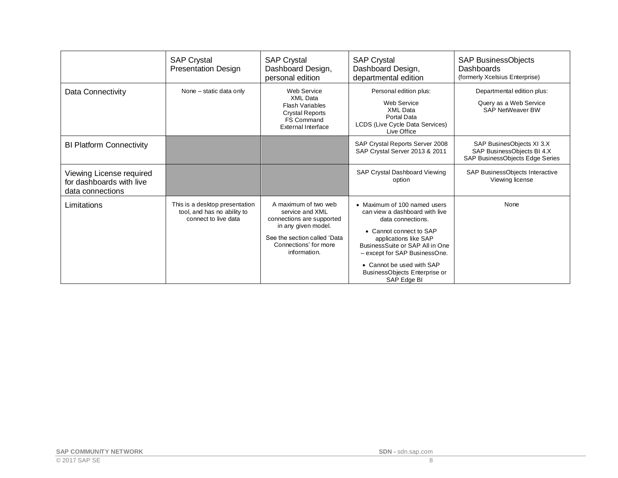|                                                                          | <b>SAP Crystal</b><br><b>Presentation Design</b>                                      | <b>SAP Crystal</b><br>Dashboard Design,<br>personal edition                                                                                                          | <b>SAP Crystal</b><br>Dashboard Design,<br>departmental edition                                                                                                                                                                                                                          | <b>SAP BusinessObjects</b><br>Dashboards<br>(formerly Xcelsius Enterprise)                 |
|--------------------------------------------------------------------------|---------------------------------------------------------------------------------------|----------------------------------------------------------------------------------------------------------------------------------------------------------------------|------------------------------------------------------------------------------------------------------------------------------------------------------------------------------------------------------------------------------------------------------------------------------------------|--------------------------------------------------------------------------------------------|
| Data Connectivity                                                        | None – static data only                                                               | Web Service<br><b>XML Data</b><br><b>Flash Variables</b><br><b>Crystal Reports</b><br><b>FS Command</b><br>External Interface                                        | Personal edition plus:<br><b>Web Service</b><br><b>XML Data</b><br>Portal Data<br>LCDS (Live Cycle Data Services)<br>Live Office                                                                                                                                                         | Departmental edition plus:<br>Query as a Web Service<br><b>SAP NetWeaver BW</b>            |
| <b>BI Platform Connectivity</b>                                          |                                                                                       |                                                                                                                                                                      | SAP Crystal Reports Server 2008<br>SAP Crystal Server 2013 & 2011                                                                                                                                                                                                                        | SAP BusinesObjects XI 3.X<br>SAP BusinessObjects BI 4.X<br>SAP BusinessObjects Edge Series |
| Viewing License required<br>for dashboards with live<br>data connections |                                                                                       |                                                                                                                                                                      | SAP Crystal Dashboard Viewing<br>option                                                                                                                                                                                                                                                  | SAP BusinessObjects Interactive<br>Viewing license                                         |
| Limitations                                                              | This is a desktop presentation<br>tool, and has no ability to<br>connect to live data | A maximum of two web<br>service and XML<br>connections are supported<br>in any given model.<br>See the section called 'Data<br>Connections' for more<br>information. | • Maximum of 100 named users<br>can view a dashboard with live<br>data connections.<br>• Cannot connect to SAP<br>applications like SAP<br>BusinessSuite or SAP All in One<br>- except for SAP BusinessOne.<br>• Cannot be used with SAP<br>BusinessObjects Enterprise or<br>SAP Edge BI | None                                                                                       |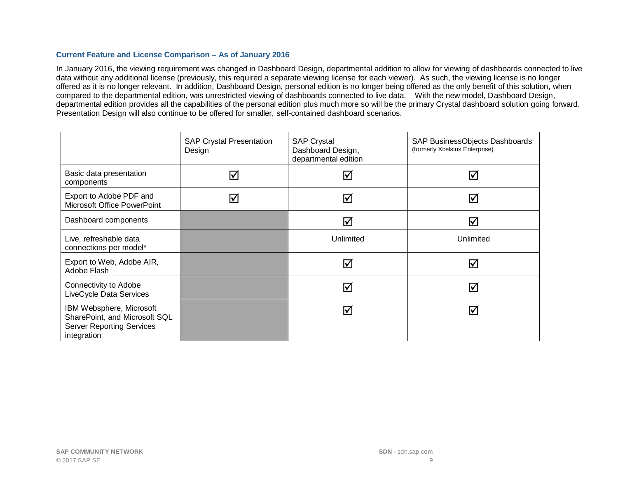#### **Current Feature and License Comparison – As of January 2016**

In January 2016, the viewing requirement was changed in Dashboard Design, departmental addition to allow for viewing of dashboards connected to live data without any additional license (previously, this required a separate viewing license for each viewer). As such, the viewing license is no longer offered as it is no longer relevant. In addition, Dashboard Design, personal edition is no longer being offered as the only benefit of this solution, when compared to the departmental edition, was unrestricted viewing of dashboards connected to live data. With the new model, Dashboard Design, departmental edition provides all the capabilities of the personal edition plus much more so will be the primary Crystal dashboard solution going forward. Presentation Design will also continue to be offered for smaller, self-contained dashboard scenarios.

<span id="page-8-0"></span>

|                                                                                                              | <b>SAP Crystal Presentation</b><br>Design | <b>SAP Crystal</b><br>Dashboard Design,<br>departmental edition | SAP BusinessObjects Dashboards<br>(formerly Xcelsius Enterprise) |
|--------------------------------------------------------------------------------------------------------------|-------------------------------------------|-----------------------------------------------------------------|------------------------------------------------------------------|
| Basic data presentation<br>components                                                                        | ☑                                         | ☑                                                               | ☑                                                                |
| Export to Adobe PDF and<br>Microsoft Office PowerPoint                                                       | $\blacktriangledown$                      | ☑                                                               | $\blacktriangledown$                                             |
| Dashboard components                                                                                         |                                           | ☑                                                               | ☑                                                                |
| Live, refreshable data<br>connections per model*                                                             |                                           | Unlimited                                                       | Unlimited                                                        |
| Export to Web, Adobe AIR,<br>Adobe Flash                                                                     |                                           | ☑                                                               | ☑                                                                |
| Connectivity to Adobe<br>LiveCycle Data Services                                                             |                                           | ☑                                                               | ☑                                                                |
| IBM Websphere, Microsoft<br>SharePoint, and Microsoft SQL<br><b>Server Reporting Services</b><br>integration |                                           | ☑                                                               | ☑                                                                |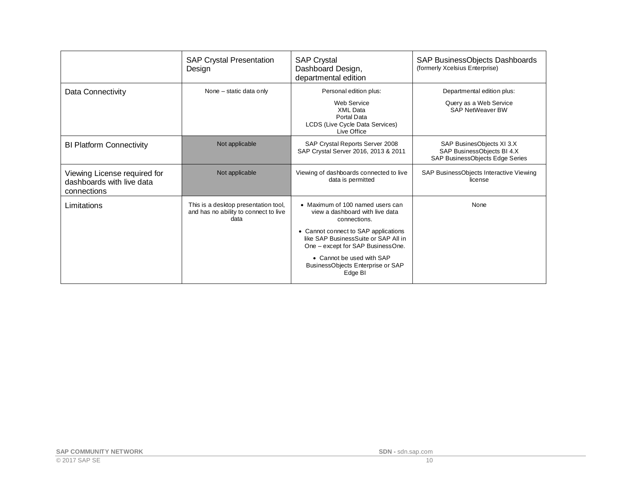|                                                                          | <b>SAP Crystal Presentation</b><br>Design                                             | <b>SAP Crystal</b><br>Dashboard Design,<br>departmental edition                                                                                                                                                                                                                       | SAP BusinessObjects Dashboards<br>(formerly Xcelsius Enterprise)                           |
|--------------------------------------------------------------------------|---------------------------------------------------------------------------------------|---------------------------------------------------------------------------------------------------------------------------------------------------------------------------------------------------------------------------------------------------------------------------------------|--------------------------------------------------------------------------------------------|
| Data Connectivity                                                        | None – static data only                                                               | Personal edition plus:<br>Web Service<br>XMI Data<br>Portal Data<br>LCDS (Live Cycle Data Services)<br>Live Office                                                                                                                                                                    | Departmental edition plus:<br>Query as a Web Service<br><b>SAP NetWeaver BW</b>            |
| <b>BI Platform Connectivity</b>                                          | Not applicable                                                                        | SAP Crystal Reports Server 2008<br>SAP Crystal Server 2016, 2013 & 2011                                                                                                                                                                                                               | SAP BusinesObjects XI 3.X<br>SAP BusinessObjects BI 4.X<br>SAP BusinessObjects Edge Series |
| Viewing License required for<br>dashboards with live data<br>connections | Not applicable                                                                        | Viewing of dashboards connected to live<br>data is permitted                                                                                                                                                                                                                          | SAP BusinessObjects Interactive Viewing<br>license                                         |
| Limitations                                                              | This is a desktop presentation tool,<br>and has no ability to connect to live<br>data | • Maximum of 100 named users can<br>view a dashboard with live data<br>connections.<br>• Cannot connect to SAP applications<br>like SAP BusinessSuite or SAP All in<br>One - except for SAP BusinessOne.<br>• Cannot be used with SAP<br>BusinessObjects Enterprise or SAP<br>Edge BI | None                                                                                       |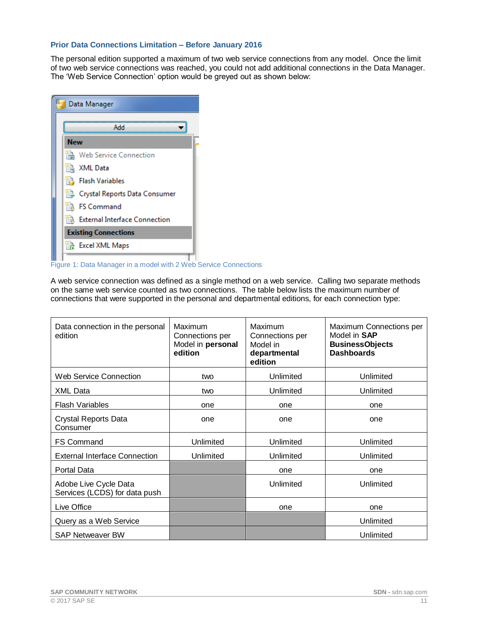#### <span id="page-10-0"></span>**Prior Data Connections Limitation – Before January 2016**

The personal edition supported a maximum of two web service connections from any model. Once the limit of two web service connections was reached, you could not add additional connections in the Data Manager. The 'Web Service Connection' option would be greyed out as shown below:

| Data Manager                         |  |  |  |  |
|--------------------------------------|--|--|--|--|
| Add                                  |  |  |  |  |
| <b>New</b>                           |  |  |  |  |
| <b>Web Service Connection</b>        |  |  |  |  |
| 論 XML Data                           |  |  |  |  |
| <b>Flash Variables</b>               |  |  |  |  |
| Crystal Reports Data Consumer        |  |  |  |  |
| <b>FS Command</b>                    |  |  |  |  |
| <b>External Interface Connection</b> |  |  |  |  |
| <b>Existing Connections</b>          |  |  |  |  |
| <b>Excel XML Maps</b>                |  |  |  |  |

**Figure 1:** Data Manager in a model with 2 Web Service Connections

A web service connection was defined as a single method on a web service. Calling two separate methods on the same web service counted as two connections. The table below lists the maximum number of connections that were supported in the personal and departmental editions, for each connection type:

| Data connection in the personal<br>edition             | Maximum<br>Connections per<br>Model in personal<br>edition | Maximum<br>Connections per<br>Model in<br>departmental<br>edition | Maximum Connections per<br>Model in <b>SAP</b><br><b>BusinessObjects</b><br><b>Dashboards</b> |
|--------------------------------------------------------|------------------------------------------------------------|-------------------------------------------------------------------|-----------------------------------------------------------------------------------------------|
| Web Service Connection                                 | two                                                        | Unlimited                                                         | Unlimited                                                                                     |
| <b>XML Data</b>                                        | two                                                        | Unlimited                                                         | Unlimited                                                                                     |
| <b>Flash Variables</b>                                 | one                                                        | one                                                               | one                                                                                           |
| <b>Crystal Reports Data</b><br>Consumer                | one                                                        | one                                                               | one                                                                                           |
| <b>FS Command</b>                                      | Unlimited                                                  | Unlimited                                                         | Unlimited                                                                                     |
| <b>External Interface Connection</b>                   | Unlimited                                                  | Unlimited                                                         | Unlimited                                                                                     |
| Portal Data                                            |                                                            | one                                                               | one                                                                                           |
| Adobe Live Cycle Data<br>Services (LCDS) for data push |                                                            | Unlimited                                                         | Unlimited                                                                                     |
| Live Office                                            |                                                            | one                                                               | one                                                                                           |
| Query as a Web Service                                 |                                                            |                                                                   | Unlimited                                                                                     |
| <b>SAP Netweaver BW</b>                                |                                                            |                                                                   | Unlimited                                                                                     |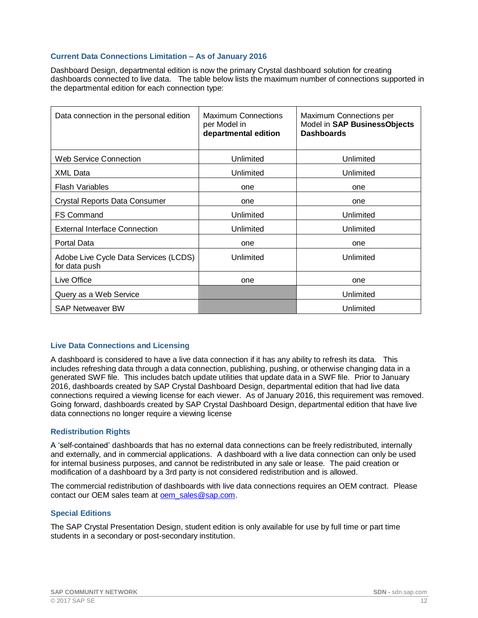#### <span id="page-11-0"></span>**Current Data Connections Limitation – As of January 2016**

Dashboard Design, departmental edition is now the primary Crystal dashboard solution for creating dashboards connected to live data. The table below lists the maximum number of connections supported in the departmental edition for each connection type:

| Data connection in the personal edition                | <b>Maximum Connections</b><br>per Model in<br>departmental edition | Maximum Connections per<br>Model in SAP BusinessObjects<br><b>Dashboards</b> |
|--------------------------------------------------------|--------------------------------------------------------------------|------------------------------------------------------------------------------|
| Web Service Connection                                 | Unlimited                                                          | Unlimited                                                                    |
| <b>XML Data</b>                                        | Unlimited                                                          | Unlimited                                                                    |
| <b>Flash Variables</b>                                 | one                                                                | one                                                                          |
| <b>Crystal Reports Data Consumer</b>                   | one                                                                | one                                                                          |
| <b>FS Command</b>                                      | Unlimited                                                          | Unlimited                                                                    |
| External Interface Connection                          | Unlimited                                                          | Unlimited                                                                    |
| Portal Data                                            | one                                                                | one                                                                          |
| Adobe Live Cycle Data Services (LCDS)<br>for data push | Unlimited                                                          | Unlimited                                                                    |
| Live Office                                            | one                                                                | one                                                                          |
| Query as a Web Service                                 |                                                                    | Unlimited                                                                    |
| <b>SAP Netweaver BW</b>                                |                                                                    | Unlimited                                                                    |

#### <span id="page-11-1"></span>**Live Data Connections and Licensing**

A dashboard is considered to have a live data connection if it has any ability to refresh its data. This includes refreshing data through a data connection, publishing, pushing, or otherwise changing data in a generated SWF file. This includes batch update utilities that update data in a SWF file. Prior to January 2016, dashboards created by SAP Crystal Dashboard Design, departmental edition that had live data connections required a viewing license for each viewer. As of January 2016, this requirement was removed. Going forward, dashboards created by SAP Crystal Dashboard Design, departmental edition that have live data connections no longer require a viewing license

#### <span id="page-11-2"></span>**Redistribution Rights**

A 'self-contained' dashboards that has no external data connections can be freely redistributed, internally and externally, and in commercial applications. A dashboard with a live data connection can only be used for internal business purposes, and cannot be redistributed in any sale or lease. The paid creation or modification of a dashboard by a 3rd party is not considered redistribution and is allowed.

The commercial redistribution of dashboards with live data connections requires an OEM contract. Please contact our OEM sales team at oem sales@sap.com.

#### <span id="page-11-3"></span>**Special Editions**

The SAP Crystal Presentation Design, student edition is only available for use by full time or part time students in a secondary or post-secondary institution.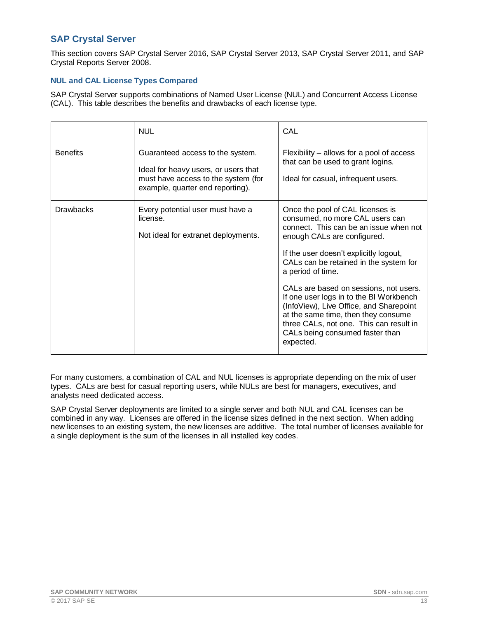## <span id="page-12-0"></span>**SAP Crystal Server**

This section covers SAP Crystal Server 2016, SAP Crystal Server 2013, SAP Crystal Server 2011, and SAP Crystal Reports Server 2008.

#### <span id="page-12-1"></span>**NUL and CAL License Types Compared**

SAP Crystal Server supports combinations of Named User License (NUL) and Concurrent Access License (CAL). This table describes the benefits and drawbacks of each license type.

|                  | <b>NUL</b>                                                                                                                                          | CAL                                                                                                                                                                                                                                                                                                                                                                                                                                                                                                                     |
|------------------|-----------------------------------------------------------------------------------------------------------------------------------------------------|-------------------------------------------------------------------------------------------------------------------------------------------------------------------------------------------------------------------------------------------------------------------------------------------------------------------------------------------------------------------------------------------------------------------------------------------------------------------------------------------------------------------------|
| <b>Benefits</b>  | Guaranteed access to the system.<br>Ideal for heavy users, or users that<br>must have access to the system (for<br>example, quarter end reporting). | Flexibility – allows for a pool of access<br>that can be used to grant logins.<br>Ideal for casual, infrequent users.                                                                                                                                                                                                                                                                                                                                                                                                   |
| <b>Drawbacks</b> | Every potential user must have a<br>license.<br>Not ideal for extranet deployments.                                                                 | Once the pool of CAL licenses is<br>consumed, no more CAL users can<br>connect. This can be an issue when not<br>enough CALs are configured.<br>If the user doesn't explicitly logout,<br>CALs can be retained in the system for<br>a period of time.<br>CALs are based on sessions, not users.<br>If one user logs in to the BI Workbench<br>(InfoView), Live Office, and Sharepoint<br>at the same time, then they consume<br>three CALs, not one. This can result in<br>CALs being consumed faster than<br>expected. |

For many customers, a combination of CAL and NUL licenses is appropriate depending on the mix of user types. CALs are best for casual reporting users, while NULs are best for managers, executives, and analysts need dedicated access.

SAP Crystal Server deployments are limited to a single server and both NUL and CAL licenses can be combined in any way. Licenses are offered in the license sizes defined in the next section. When adding new licenses to an existing system, the new licenses are additive. The total number of licenses available for a single deployment is the sum of the licenses in all installed key codes.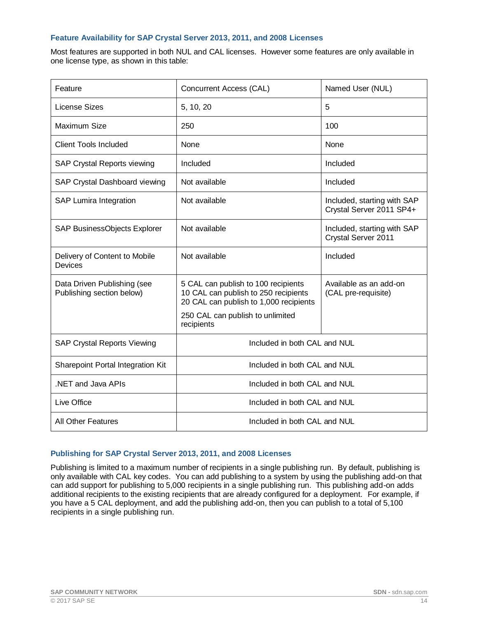#### <span id="page-13-0"></span>**Feature Availability for SAP Crystal Server 2013, 2011, and 2008 Licenses**

Most features are supported in both NUL and CAL licenses. However some features are only available in one license type, as shown in this table:

| Feature                                                  | Concurrent Access (CAL)                                                                                                                                                 | Named User (NUL)                                        |
|----------------------------------------------------------|-------------------------------------------------------------------------------------------------------------------------------------------------------------------------|---------------------------------------------------------|
| License Sizes                                            | 5, 10, 20                                                                                                                                                               | 5                                                       |
| Maximum Size                                             | 250                                                                                                                                                                     | 100                                                     |
| <b>Client Tools Included</b>                             | None                                                                                                                                                                    | None                                                    |
| <b>SAP Crystal Reports viewing</b>                       | Included                                                                                                                                                                | Included                                                |
| SAP Crystal Dashboard viewing                            | Not available                                                                                                                                                           | Included                                                |
| <b>SAP Lumira Integration</b>                            | Not available                                                                                                                                                           | Included, starting with SAP<br>Crystal Server 2011 SP4+ |
| SAP BusinessObjects Explorer                             | Not available                                                                                                                                                           | Included, starting with SAP<br>Crystal Server 2011      |
| Delivery of Content to Mobile<br>Devices                 | Not available                                                                                                                                                           | Included                                                |
| Data Driven Publishing (see<br>Publishing section below) | 5 CAL can publish to 100 recipients<br>10 CAL can publish to 250 recipients<br>20 CAL can publish to 1,000 recipients<br>250 CAL can publish to unlimited<br>recipients | Available as an add-on<br>(CAL pre-requisite)           |
| <b>SAP Crystal Reports Viewing</b>                       | Included in both CAL and NUL                                                                                                                                            |                                                         |
| Sharepoint Portal Integration Kit                        | Included in both CAL and NUL                                                                                                                                            |                                                         |
| .NET and Java APIs                                       | Included in both CAL and NUL                                                                                                                                            |                                                         |
| Live Office                                              | Included in both CAL and NUL                                                                                                                                            |                                                         |
| <b>All Other Features</b>                                | Included in both CAL and NUL                                                                                                                                            |                                                         |

#### <span id="page-13-1"></span>**Publishing for SAP Crystal Server 2013, 2011, and 2008 Licenses**

Publishing is limited to a maximum number of recipients in a single publishing run. By default, publishing is only available with CAL key codes. You can add publishing to a system by using the publishing add-on that can add support for publishing to 5,000 recipients in a single publishing run. This publishing add-on adds additional recipients to the existing recipients that are already configured for a deployment. For example, if you have a 5 CAL deployment, and add the publishing add-on, then you can publish to a total of 5,100 recipients in a single publishing run.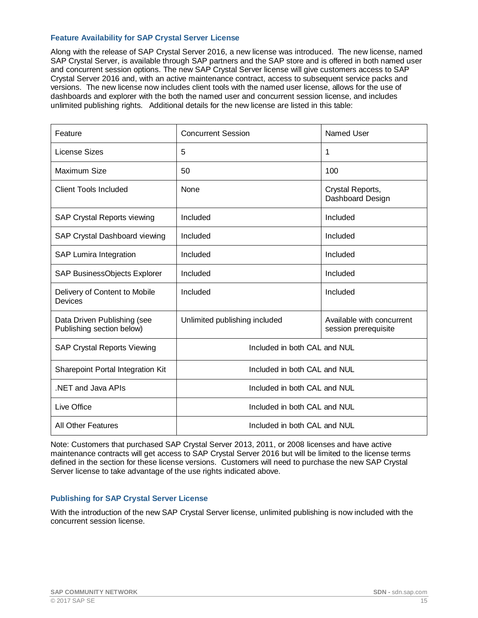#### <span id="page-14-0"></span>**Feature Availability for SAP Crystal Server License**

Along with the release of SAP Crystal Server 2016, a new license was introduced. The new license, named SAP Crystal Server, is available through SAP partners and the SAP store and is offered in both named user and concurrent session options. The new SAP Crystal Server license will give customers access to SAP Crystal Server 2016 and, with an active maintenance contract, access to subsequent service packs and versions. The new license now includes client tools with the named user license, allows for the use of dashboards and explorer with the both the named user and concurrent session license, and includes unlimited publishing rights. Additional details for the new license are listed in this table:

| Feature                                                  | <b>Concurrent Session</b>     | Named User                                        |
|----------------------------------------------------------|-------------------------------|---------------------------------------------------|
| <b>License Sizes</b>                                     | 5                             | 1                                                 |
| Maximum Size                                             | 50                            | 100                                               |
| <b>Client Tools Included</b>                             | None                          | Crystal Reports,<br>Dashboard Design              |
| <b>SAP Crystal Reports viewing</b>                       | Included                      | Included                                          |
| SAP Crystal Dashboard viewing                            | Included                      | Included                                          |
| <b>SAP Lumira Integration</b>                            | Included                      | Included                                          |
| SAP BusinessObjects Explorer                             | Included                      | Included                                          |
| Delivery of Content to Mobile<br><b>Devices</b>          | Included                      | Included                                          |
| Data Driven Publishing (see<br>Publishing section below) | Unlimited publishing included | Available with concurrent<br>session prerequisite |
| <b>SAP Crystal Reports Viewing</b>                       | Included in both CAL and NUL  |                                                   |
| Sharepoint Portal Integration Kit                        | Included in both CAL and NUL  |                                                   |
| NET and Java APIs                                        | Included in both CAL and NUL  |                                                   |
| Live Office                                              | Included in both CAL and NUL  |                                                   |
| <b>All Other Features</b>                                | Included in both CAL and NUL  |                                                   |

Note: Customers that purchased SAP Crystal Server 2013, 2011, or 2008 licenses and have active maintenance contracts will get access to SAP Crystal Server 2016 but will be limited to the license terms defined in the section for these license versions. Customers will need to purchase the new SAP Crystal Server license to take advantage of the use rights indicated above.

#### <span id="page-14-1"></span>**Publishing for SAP Crystal Server License**

With the introduction of the new SAP Crystal Server license, unlimited publishing is now included with the concurrent session license.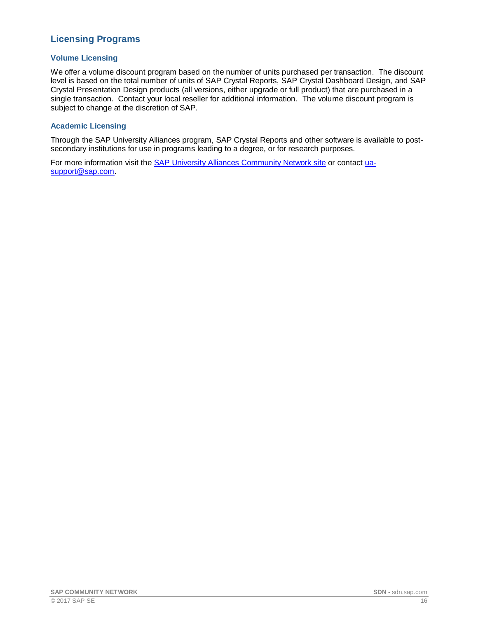# <span id="page-15-0"></span>**Licensing Programs**

#### <span id="page-15-1"></span>**Volume Licensing**

We offer a volume discount program based on the number of units purchased per transaction. The discount level is based on the total number of units of SAP Crystal Reports, SAP Crystal Dashboard Design, and SAP Crystal Presentation Design products (all versions, either upgrade or full product) that are purchased in a single transaction. Contact your local reseller for additional information. The volume discount program is subject to change at the discretion of SAP.

#### <span id="page-15-2"></span>**Academic Licensing**

Through the SAP University Alliances program, SAP Crystal Reports and other software is available to postsecondary institutions for use in programs leading to a degree, or for research purposes.

For more information visit the [SAP University Alliances Community Network site](http://scn.sap.com/community/uac) or contact [ua](mailto:ua-support@sap.com)[support@sap.com.](mailto:ua-support@sap.com)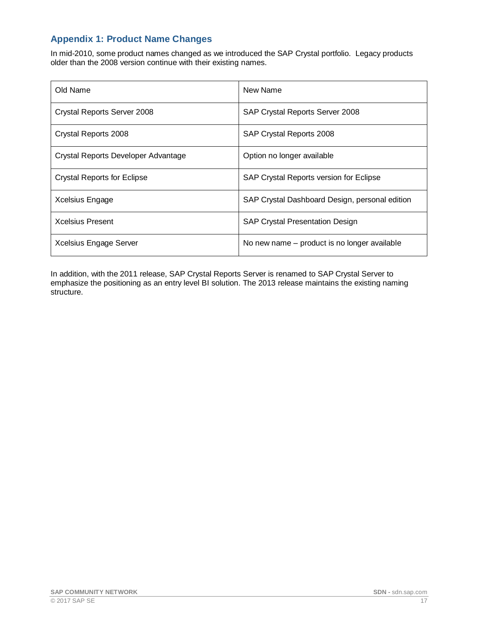# <span id="page-16-0"></span>**Appendix 1: Product Name Changes**

In mid-2010, some product names changed as we introduced the SAP Crystal portfolio. Legacy products older than the 2008 version continue with their existing names.

| Old Name                            | New Name                                       |  |
|-------------------------------------|------------------------------------------------|--|
| Crystal Reports Server 2008         | SAP Crystal Reports Server 2008                |  |
| Crystal Reports 2008                | SAP Crystal Reports 2008                       |  |
| Crystal Reports Developer Advantage | Option no longer available                     |  |
| <b>Crystal Reports for Eclipse</b>  | SAP Crystal Reports version for Eclipse        |  |
| Xcelsius Engage                     | SAP Crystal Dashboard Design, personal edition |  |
| <b>Xcelsius Present</b>             | <b>SAP Crystal Presentation Design</b>         |  |
| Xcelsius Engage Server              | No new name – product is no longer available   |  |

In addition, with the 2011 release, SAP Crystal Reports Server is renamed to SAP Crystal Server to emphasize the positioning as an entry level BI solution. The 2013 release maintains the existing naming structure.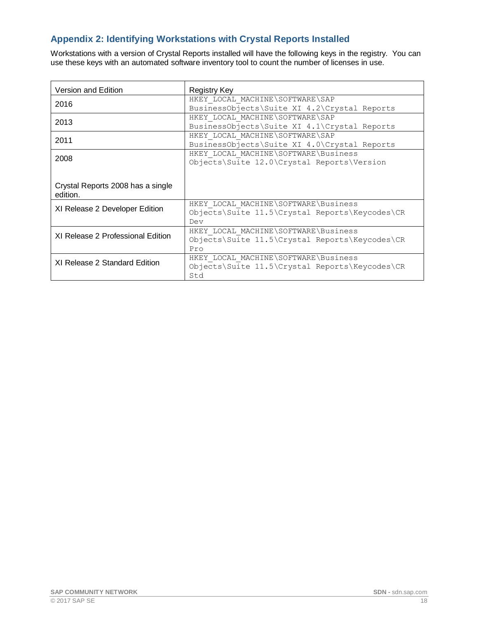# <span id="page-17-0"></span>**Appendix 2: Identifying Workstations with Crystal Reports Installed**

Workstations with a version of Crystal Reports installed will have the following keys in the registry. You can use these keys with an automated software inventory tool to count the number of licenses in use.

| Version and Edition                           | Registry Key                                                                                  |  |
|-----------------------------------------------|-----------------------------------------------------------------------------------------------|--|
| 2016                                          | HKEY LOCAL MACHINE\SOFTWARE\SAP<br>BusinessObjects\Suite XI 4.2\Crystal Reports               |  |
| 2013                                          | HKEY LOCAL MACHINE\SOFTWARE\SAP<br>BusinessObjects\Suite XI 4.1\Crystal Reports               |  |
| 2011                                          | HKEY LOCAL MACHINE\SOFTWARE\SAP<br>BusinessObjects\Suite XI 4.0\Crystal Reports               |  |
| 2008                                          | HKEY LOCAL MACHINE\SOFTWARE\Business<br>Objects\Suite 12.0\Crystal Reports\Version            |  |
| Crystal Reports 2008 has a single<br>edition. |                                                                                               |  |
| XI Release 2 Developer Edition                | HKEY LOCAL MACHINE\SOFTWARE\Business<br>Objects\Suite 11.5\Crystal Reports\Keycodes\CR<br>Dev |  |
| XI Release 2 Professional Edition             | HKEY LOCAL MACHINE\SOFTWARE\Business<br>Objects\Suite 11.5\Crystal Reports\Keycodes\CR<br>Pro |  |
| XI Release 2 Standard Edition                 | HKEY LOCAL MACHINE\SOFTWARE\Business<br>Objects\Suite 11.5\Crystal Reports\Keycodes\CR<br>Std |  |